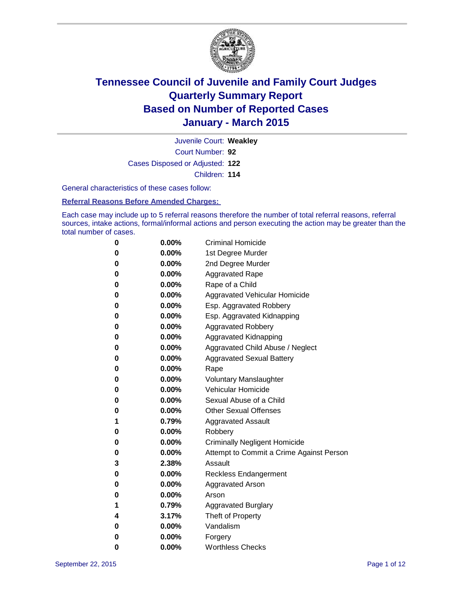

Court Number: **92** Juvenile Court: **Weakley** Cases Disposed or Adjusted: **122** Children: **114**

General characteristics of these cases follow:

**Referral Reasons Before Amended Charges:** 

Each case may include up to 5 referral reasons therefore the number of total referral reasons, referral sources, intake actions, formal/informal actions and person executing the action may be greater than the total number of cases.

| 0        | 0.00%    | <b>Criminal Homicide</b>                 |
|----------|----------|------------------------------------------|
| 0        | $0.00\%$ | 1st Degree Murder                        |
| 0        | $0.00\%$ | 2nd Degree Murder                        |
| 0        | $0.00\%$ | <b>Aggravated Rape</b>                   |
| 0        | $0.00\%$ | Rape of a Child                          |
| 0        | $0.00\%$ | Aggravated Vehicular Homicide            |
| 0        | $0.00\%$ | Esp. Aggravated Robbery                  |
| 0        | $0.00\%$ | Esp. Aggravated Kidnapping               |
| 0        | $0.00\%$ | <b>Aggravated Robbery</b>                |
| $\bf{0}$ | $0.00\%$ | Aggravated Kidnapping                    |
| 0        | 0.00%    | Aggravated Child Abuse / Neglect         |
| 0        | $0.00\%$ | <b>Aggravated Sexual Battery</b>         |
| 0        | 0.00%    | Rape                                     |
| 0        | $0.00\%$ | <b>Voluntary Manslaughter</b>            |
| 0        | $0.00\%$ | <b>Vehicular Homicide</b>                |
| 0        | $0.00\%$ | Sexual Abuse of a Child                  |
| 0        | $0.00\%$ | <b>Other Sexual Offenses</b>             |
| 1        | 0.79%    | <b>Aggravated Assault</b>                |
| 0        | 0.00%    | Robbery                                  |
| $\bf{0}$ | $0.00\%$ | <b>Criminally Negligent Homicide</b>     |
| 0        | $0.00\%$ | Attempt to Commit a Crime Against Person |
| 3        | 2.38%    | Assault                                  |
| 0        | $0.00\%$ | <b>Reckless Endangerment</b>             |
| 0        | $0.00\%$ | <b>Aggravated Arson</b>                  |
| 0        | $0.00\%$ | Arson                                    |
| 1        | 0.79%    | <b>Aggravated Burglary</b>               |
| 4        | 3.17%    | Theft of Property                        |
| 0        | $0.00\%$ | Vandalism                                |
| 0        | 0.00%    | Forgery                                  |
| 0        | 0.00%    | <b>Worthless Checks</b>                  |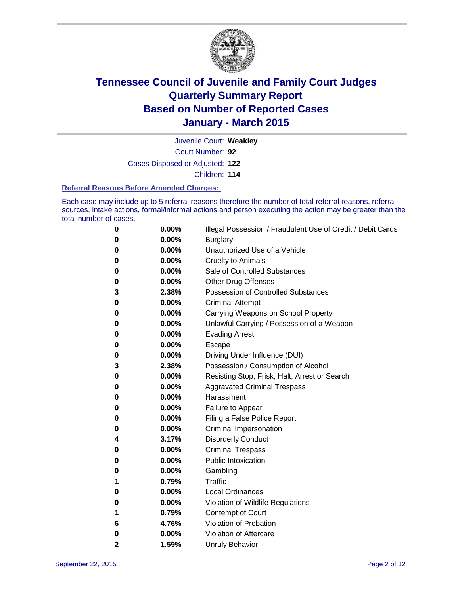

Court Number: **92** Juvenile Court: **Weakley** Cases Disposed or Adjusted: **122**

Children: **114**

#### **Referral Reasons Before Amended Charges:**

Each case may include up to 5 referral reasons therefore the number of total referral reasons, referral sources, intake actions, formal/informal actions and person executing the action may be greater than the total number of cases.

| 0 | 0.00% | Illegal Possession / Fraudulent Use of Credit / Debit Cards |
|---|-------|-------------------------------------------------------------|
| 0 | 0.00% | <b>Burglary</b>                                             |
| 0 | 0.00% | Unauthorized Use of a Vehicle                               |
| 0 | 0.00% | <b>Cruelty to Animals</b>                                   |
| 0 | 0.00% | Sale of Controlled Substances                               |
| 0 | 0.00% | <b>Other Drug Offenses</b>                                  |
| 3 | 2.38% | <b>Possession of Controlled Substances</b>                  |
| 0 | 0.00% | <b>Criminal Attempt</b>                                     |
| 0 | 0.00% | Carrying Weapons on School Property                         |
| 0 | 0.00% | Unlawful Carrying / Possession of a Weapon                  |
| 0 | 0.00% | <b>Evading Arrest</b>                                       |
| 0 | 0.00% | Escape                                                      |
| 0 | 0.00% | Driving Under Influence (DUI)                               |
| 3 | 2.38% | Possession / Consumption of Alcohol                         |
| 0 | 0.00% | Resisting Stop, Frisk, Halt, Arrest or Search               |
| 0 | 0.00% | <b>Aggravated Criminal Trespass</b>                         |
| 0 | 0.00% | Harassment                                                  |
| 0 | 0.00% | Failure to Appear                                           |
| 0 | 0.00% | Filing a False Police Report                                |
| 0 | 0.00% | Criminal Impersonation                                      |
| 4 | 3.17% | <b>Disorderly Conduct</b>                                   |
| 0 | 0.00% | <b>Criminal Trespass</b>                                    |
| 0 | 0.00% | <b>Public Intoxication</b>                                  |
| 0 | 0.00% | Gambling                                                    |
| 1 | 0.79% | Traffic                                                     |
| 0 | 0.00% | <b>Local Ordinances</b>                                     |
| 0 | 0.00% | Violation of Wildlife Regulations                           |
| 1 | 0.79% | <b>Contempt of Court</b>                                    |
| 6 | 4.76% | Violation of Probation                                      |
| 0 | 0.00% | Violation of Aftercare                                      |
| 2 | 1.59% | <b>Unruly Behavior</b>                                      |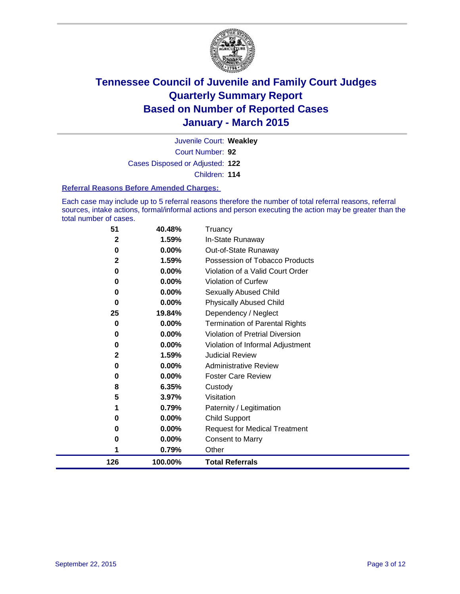

Court Number: **92** Juvenile Court: **Weakley** Cases Disposed or Adjusted: **122** Children: **114**

#### **Referral Reasons Before Amended Charges:**

Each case may include up to 5 referral reasons therefore the number of total referral reasons, referral sources, intake actions, formal/informal actions and person executing the action may be greater than the total number of cases.

| 51          | 40.48%  | Truancy                               |
|-------------|---------|---------------------------------------|
| 2           | 1.59%   | In-State Runaway                      |
| 0           | 0.00%   | Out-of-State Runaway                  |
| $\mathbf 2$ | 1.59%   | Possession of Tobacco Products        |
| 0           | 0.00%   | Violation of a Valid Court Order      |
| 0           | 0.00%   | <b>Violation of Curfew</b>            |
| 0           | 0.00%   | <b>Sexually Abused Child</b>          |
| 0           | 0.00%   | <b>Physically Abused Child</b>        |
| 25          | 19.84%  | Dependency / Neglect                  |
| 0           | 0.00%   | <b>Termination of Parental Rights</b> |
| 0           | 0.00%   | Violation of Pretrial Diversion       |
| 0           | 0.00%   | Violation of Informal Adjustment      |
| 2           | 1.59%   | <b>Judicial Review</b>                |
| 0           | 0.00%   | <b>Administrative Review</b>          |
| 0           | 0.00%   | <b>Foster Care Review</b>             |
| 8           | 6.35%   | Custody                               |
| 5           | 3.97%   | Visitation                            |
| 1           | 0.79%   | Paternity / Legitimation              |
| 0           | 0.00%   | Child Support                         |
| 0           | 0.00%   | <b>Request for Medical Treatment</b>  |
| 0           | 0.00%   | <b>Consent to Marry</b>               |
|             | 0.79%   | Other                                 |
| 126         | 100.00% | <b>Total Referrals</b>                |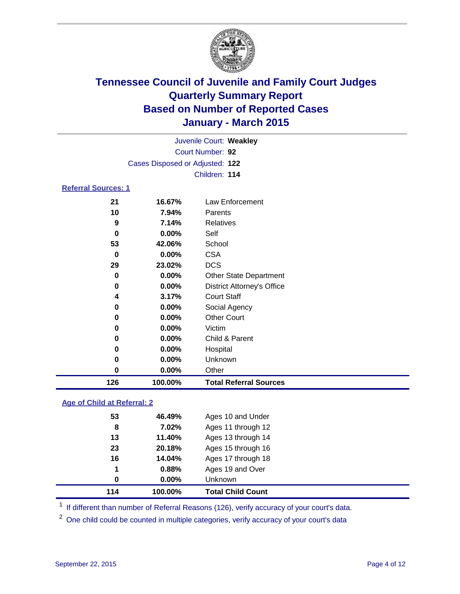

|                            |    |                                 | Juvenile Court: Weakley |  |  |  |  |
|----------------------------|----|---------------------------------|-------------------------|--|--|--|--|
|                            |    | Court Number: 92                |                         |  |  |  |  |
|                            |    | Cases Disposed or Adjusted: 122 |                         |  |  |  |  |
|                            |    |                                 | Children: 114           |  |  |  |  |
| <b>Referral Sources: 1</b> |    |                                 |                         |  |  |  |  |
|                            | 21 | 16.67%                          | Law Enforcement         |  |  |  |  |
|                            | 10 | 7.94%                           | Parents                 |  |  |  |  |
|                            | 9  | 7.14%                           | Relatives               |  |  |  |  |
|                            | 0  | $0.00\%$                        | Self                    |  |  |  |  |
|                            | 53 | 42.06%                          | School                  |  |  |  |  |
|                            |    |                                 |                         |  |  |  |  |

| 126 | 100.00% | <b>Total Referral Sources</b>     |
|-----|---------|-----------------------------------|
| 0   | 0.00%   | Other                             |
| 0   | 0.00%   | Unknown                           |
| 0   | 0.00%   | Hospital                          |
| 0   | 0.00%   | Child & Parent                    |
| 0   | 0.00%   | Victim                            |
| 0   | 0.00%   | <b>Other Court</b>                |
| 0   | 0.00%   | Social Agency                     |
| 4   | 3.17%   | <b>Court Staff</b>                |
| 0   | 0.00%   | <b>District Attorney's Office</b> |
| 0   | 0.00%   | <b>Other State Department</b>     |
| 29  | 23.02%  | <b>DCS</b>                        |
| 0   | 0.00%   | <b>CSA</b>                        |

#### **Age of Child at Referral: 2**

| 114 | 100.00%  | <b>Total Child Count</b> |  |
|-----|----------|--------------------------|--|
| 0   | $0.00\%$ | <b>Unknown</b>           |  |
| 1   | 0.88%    | Ages 19 and Over         |  |
| 16  | 14.04%   | Ages 17 through 18       |  |
| 23  | 20.18%   | Ages 15 through 16       |  |
| 13  | 11.40%   | Ages 13 through 14       |  |
| 8   | 7.02%    | Ages 11 through 12       |  |
| 53  | 46.49%   | Ages 10 and Under        |  |

<sup>1</sup> If different than number of Referral Reasons (126), verify accuracy of your court's data.

One child could be counted in multiple categories, verify accuracy of your court's data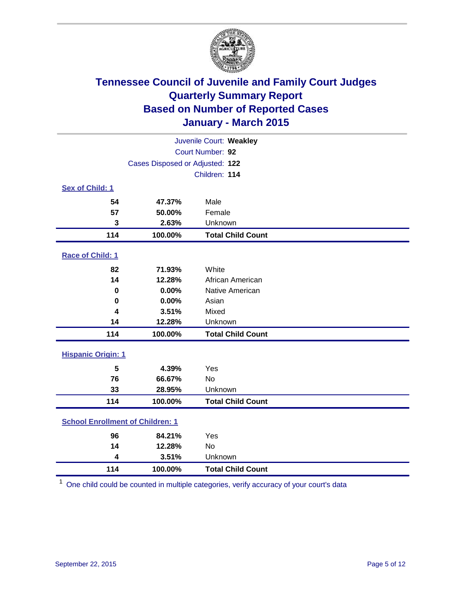

| Juvenile Court: Weakley                 |                                 |                          |  |  |
|-----------------------------------------|---------------------------------|--------------------------|--|--|
|                                         | Court Number: 92                |                          |  |  |
|                                         | Cases Disposed or Adjusted: 122 |                          |  |  |
|                                         |                                 | Children: 114            |  |  |
| Sex of Child: 1                         |                                 |                          |  |  |
| 54                                      | 47.37%                          | Male                     |  |  |
| 57                                      | 50.00%                          | Female                   |  |  |
| 3                                       | 2.63%                           | Unknown                  |  |  |
| 114                                     | 100.00%                         | <b>Total Child Count</b> |  |  |
| Race of Child: 1                        |                                 |                          |  |  |
| 82                                      | 71.93%                          | White                    |  |  |
| 14                                      | 12.28%                          | African American         |  |  |
| $\bf{0}$                                | 0.00%                           | Native American          |  |  |
| 0                                       | 0.00%                           | Asian                    |  |  |
| $\overline{\mathbf{4}}$                 | 3.51%                           | Mixed                    |  |  |
| 14                                      | 12.28%                          | Unknown                  |  |  |
| 114                                     | 100.00%                         | <b>Total Child Count</b> |  |  |
| <b>Hispanic Origin: 1</b>               |                                 |                          |  |  |
| 5                                       | 4.39%                           | Yes                      |  |  |
| 76                                      | 66.67%                          | <b>No</b>                |  |  |
| 33                                      | 28.95%                          | Unknown                  |  |  |
| 114                                     | 100.00%                         | <b>Total Child Count</b> |  |  |
| <b>School Enrollment of Children: 1</b> |                                 |                          |  |  |
| 96                                      | 84.21%                          | Yes                      |  |  |
| 14                                      | 12.28%                          | <b>No</b>                |  |  |
| 4                                       | 3.51%                           | Unknown                  |  |  |
| 114                                     | 100.00%                         | <b>Total Child Count</b> |  |  |

One child could be counted in multiple categories, verify accuracy of your court's data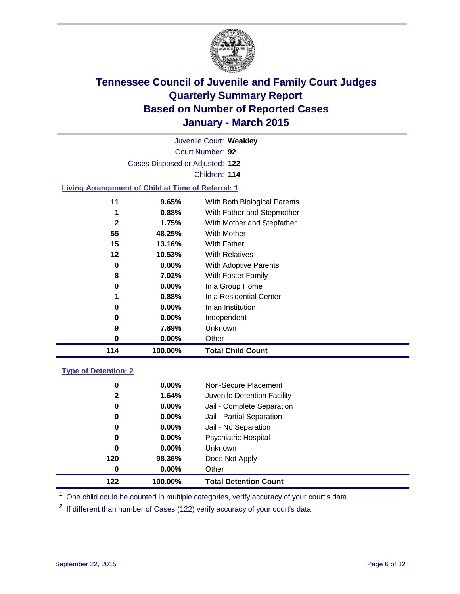

|                                                           |                                 | Juvenile Court: Weakley      |  |
|-----------------------------------------------------------|---------------------------------|------------------------------|--|
|                                                           |                                 | Court Number: 92             |  |
|                                                           | Cases Disposed or Adjusted: 122 |                              |  |
|                                                           |                                 | Children: 114                |  |
| <b>Living Arrangement of Child at Time of Referral: 1</b> |                                 |                              |  |
| 11                                                        | 9.65%                           | With Both Biological Parents |  |
| 1                                                         | 0.88%                           | With Father and Stepmother   |  |
| $\mathbf{2}$                                              | 1.75%                           | With Mother and Stepfather   |  |
| 55                                                        | 48.25%                          | <b>With Mother</b>           |  |
| 15                                                        | 13.16%                          | With Father                  |  |
| $12 \,$                                                   | 10.53%                          | <b>With Relatives</b>        |  |
| 0                                                         | $0.00\%$                        | With Adoptive Parents        |  |
| 8                                                         | 7.02%                           | With Foster Family           |  |
| 0                                                         | 0.00%                           | In a Group Home              |  |
| 1                                                         | 0.88%                           | In a Residential Center      |  |
| 0                                                         | $0.00\%$                        | In an Institution            |  |
| 0                                                         | 0.00%                           | Independent                  |  |
| 9                                                         | 7.89%                           | Unknown                      |  |
| 0                                                         | 0.00%                           | Other                        |  |
| 114                                                       | 100.00%                         | <b>Total Child Count</b>     |  |
| <b>Type of Detention: 2</b>                               |                                 |                              |  |

| 0<br>$\mathbf{2}$ | $0.00\%$<br>1.64% | Non-Secure Placement<br>Juvenile Detention Facility |
|-------------------|-------------------|-----------------------------------------------------|
| 0                 | $0.00\%$          | Jail - Complete Separation                          |
| 0                 | 0.00%             | Jail - Partial Separation                           |
| 0                 | $0.00\%$          | Jail - No Separation                                |
| 0                 | $0.00\%$          | <b>Psychiatric Hospital</b>                         |
| 0                 | 0.00%             | Unknown                                             |
| 120               | 98.36%            | Does Not Apply                                      |
| 0                 | 0.00%             | Other                                               |
| 122               | 100.00%           | <b>Total Detention Count</b>                        |

<sup>1</sup> One child could be counted in multiple categories, verify accuracy of your court's data

If different than number of Cases (122) verify accuracy of your court's data.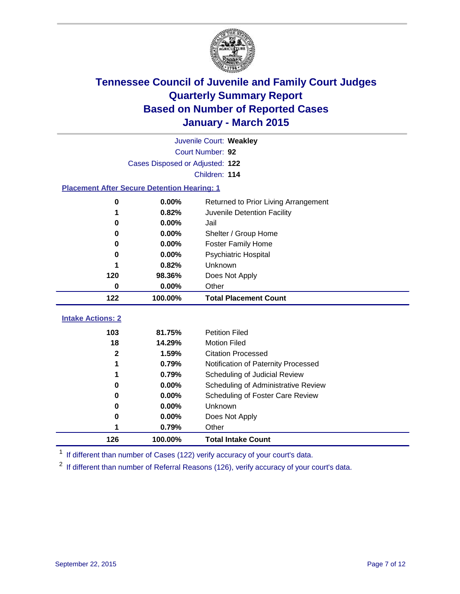

|                                                    | Juvenile Court: Weakley         |                                      |  |  |  |
|----------------------------------------------------|---------------------------------|--------------------------------------|--|--|--|
|                                                    | Court Number: 92                |                                      |  |  |  |
|                                                    | Cases Disposed or Adjusted: 122 |                                      |  |  |  |
|                                                    |                                 | Children: 114                        |  |  |  |
| <b>Placement After Secure Detention Hearing: 1</b> |                                 |                                      |  |  |  |
| $\bf{0}$                                           | 0.00%                           | Returned to Prior Living Arrangement |  |  |  |
| 1                                                  | 0.82%                           | Juvenile Detention Facility          |  |  |  |
| 0                                                  | 0.00%                           | Jail                                 |  |  |  |
| 0                                                  | 0.00%                           | Shelter / Group Home                 |  |  |  |
| 0                                                  | 0.00%                           | <b>Foster Family Home</b>            |  |  |  |
| 0                                                  | 0.00%                           | <b>Psychiatric Hospital</b>          |  |  |  |
|                                                    | 0.82%                           | Unknown                              |  |  |  |
| 120                                                | 98.36%                          | Does Not Apply                       |  |  |  |
| $\mathbf 0$                                        | 0.00%                           | Other                                |  |  |  |
| 122                                                | 100.00%                         | <b>Total Placement Count</b>         |  |  |  |
|                                                    |                                 |                                      |  |  |  |
| <b>Intake Actions: 2</b>                           |                                 |                                      |  |  |  |
| 103                                                | 81.75%                          | <b>Petition Filed</b>                |  |  |  |
| 18                                                 | 14.29%                          | <b>Motion Filed</b>                  |  |  |  |
| $\mathbf 2$                                        | 1.59%                           | <b>Citation Processed</b>            |  |  |  |
| 1                                                  | 0.79%                           | Notification of Paternity Processed  |  |  |  |
| 1                                                  | 0.79%                           | Scheduling of Judicial Review        |  |  |  |
| 0                                                  | 0.00%                           | Scheduling of Administrative Review  |  |  |  |
| 0                                                  | 0.00%                           | Scheduling of Foster Care Review     |  |  |  |
| $\bf{0}$                                           | 0.00%                           | Unknown                              |  |  |  |
| 0                                                  | 0.00%                           | Does Not Apply                       |  |  |  |
|                                                    | 0.79%                           | Other                                |  |  |  |
| 126                                                | 100.00%                         | <b>Total Intake Count</b>            |  |  |  |

<sup>1</sup> If different than number of Cases (122) verify accuracy of your court's data.

<sup>2</sup> If different than number of Referral Reasons (126), verify accuracy of your court's data.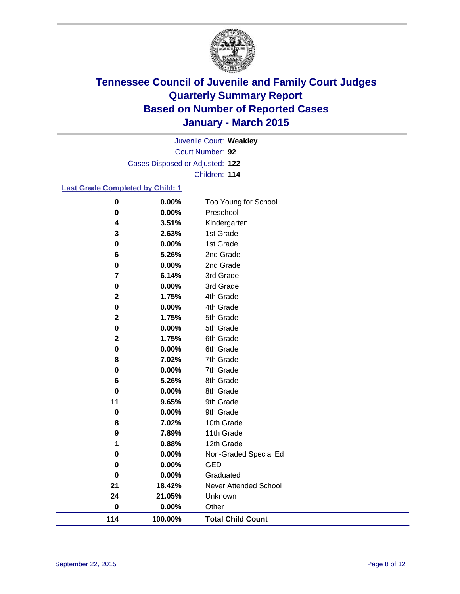

Court Number: **92** Juvenile Court: **Weakley** Cases Disposed or Adjusted: **122** Children: **114**

#### **Last Grade Completed by Child: 1**

| 114                      | 100.00%        | <b>Total Child Count</b> |
|--------------------------|----------------|--------------------------|
| $\pmb{0}$                | 0.00%          | Other                    |
| 24                       | 21.05%         | Unknown                  |
| 21                       | 18.42%         | Never Attended School    |
| $\mathbf 0$              | 0.00%          | Graduated                |
| 0                        | 0.00%          | <b>GED</b>               |
| 0                        | 0.00%          | Non-Graded Special Ed    |
| 1                        | 0.88%          | 12th Grade               |
| 9                        | 7.89%          | 11th Grade               |
| 8                        | 7.02%          | 10th Grade               |
| $\pmb{0}$                | 0.00%          | 9th Grade                |
| 11                       | 9.65%          | 9th Grade                |
| $\bf{0}$                 | 0.00%          | 8th Grade                |
| 6                        | 5.26%          | 8th Grade                |
| 0                        | 0.00%          | 7th Grade                |
| 8                        | 7.02%          | 7th Grade                |
| 0                        | 0.00%          | 6th Grade                |
| $\mathbf 2$              | 1.75%          | 6th Grade                |
| $\mathbf 2$<br>$\pmb{0}$ | 1.75%<br>0.00% | 5th Grade<br>5th Grade   |
| 0                        | 0.00%          | 4th Grade                |
| $\mathbf 2$              | 1.75%          | 4th Grade                |
| 0                        | 0.00%          | 3rd Grade                |
| $\overline{\mathbf{r}}$  | 6.14%          | 3rd Grade                |
| 0                        | 0.00%          | 2nd Grade                |
| 6                        | 5.26%          | 2nd Grade                |
| 0                        | 0.00%          | 1st Grade                |
| 3                        | 2.63%          | 1st Grade                |
| 4                        | 3.51%          | Kindergarten             |
| 0                        | 0.00%          | Preschool                |
| $\pmb{0}$                | 0.00%          | Too Young for School     |
|                          |                |                          |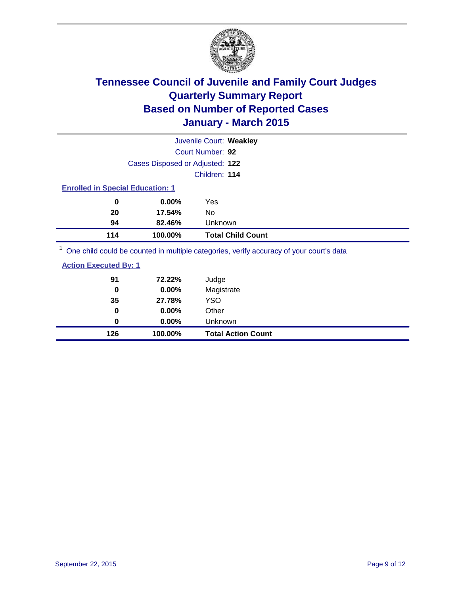

|                                                                                         |                                 | Juvenile Court: Weakley  |  |  |
|-----------------------------------------------------------------------------------------|---------------------------------|--------------------------|--|--|
|                                                                                         |                                 | Court Number: 92         |  |  |
|                                                                                         | Cases Disposed or Adjusted: 122 |                          |  |  |
|                                                                                         |                                 | Children: 114            |  |  |
| <b>Enrolled in Special Education: 1</b>                                                 |                                 |                          |  |  |
| 0                                                                                       | $0.00\%$                        | Yes                      |  |  |
| 20                                                                                      | 17.54%                          | No                       |  |  |
| 94                                                                                      | 82.46%                          | Unknown                  |  |  |
| 114                                                                                     | 100.00%                         | <b>Total Child Count</b> |  |  |
| One child could be counted in multiple categories, verify accuracy of your court's data |                                 |                          |  |  |

| 126                          | 100.00%  | <b>Total Action Count</b> |
|------------------------------|----------|---------------------------|
| 0                            | $0.00\%$ | Unknown                   |
| 0                            | 0.00%    | Other                     |
| 35                           | 27.78%   | <b>YSO</b>                |
| 0                            | 0.00%    | Magistrate                |
| 91                           | 72.22%   | Judge                     |
| <b>Action Executed By: 1</b> |          |                           |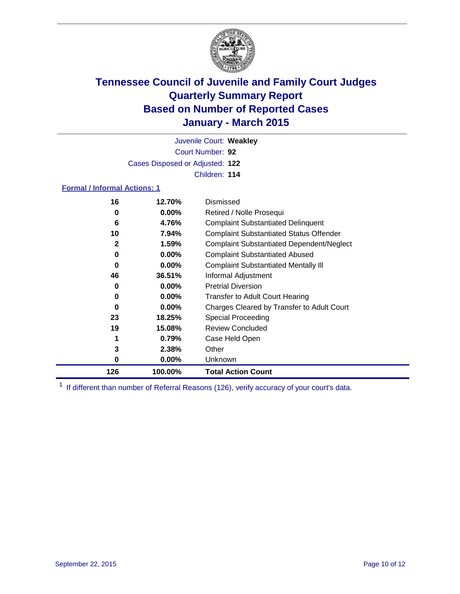

Court Number: **92** Juvenile Court: **Weakley** Cases Disposed or Adjusted: **122** Children: **114**

#### **Formal / Informal Actions: 1**

| 16           | 12.70%   | Dismissed                                        |
|--------------|----------|--------------------------------------------------|
| 0            | $0.00\%$ | Retired / Nolle Prosequi                         |
| 6            | 4.76%    | <b>Complaint Substantiated Delinquent</b>        |
| 10           | 7.94%    | <b>Complaint Substantiated Status Offender</b>   |
| $\mathbf{2}$ | 1.59%    | <b>Complaint Substantiated Dependent/Neglect</b> |
| 0            | $0.00\%$ | <b>Complaint Substantiated Abused</b>            |
| 0            | $0.00\%$ | <b>Complaint Substantiated Mentally III</b>      |
| 46           | 36.51%   | Informal Adjustment                              |
| 0            | $0.00\%$ | <b>Pretrial Diversion</b>                        |
| 0            | $0.00\%$ | <b>Transfer to Adult Court Hearing</b>           |
| 0            | $0.00\%$ | Charges Cleared by Transfer to Adult Court       |
| 23           | 18.25%   | Special Proceeding                               |
| 19           | 15.08%   | <b>Review Concluded</b>                          |
| 1            | 0.79%    | Case Held Open                                   |
| 3            | 2.38%    | Other                                            |
| 0            | $0.00\%$ | Unknown                                          |
| 126          | 100.00%  | <b>Total Action Count</b>                        |

<sup>1</sup> If different than number of Referral Reasons (126), verify accuracy of your court's data.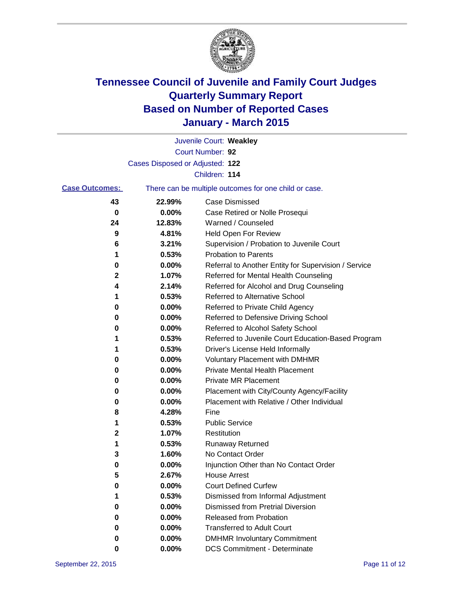

|                       |                                 | Juvenile Court: Weakley                               |
|-----------------------|---------------------------------|-------------------------------------------------------|
|                       |                                 | Court Number: 92                                      |
|                       | Cases Disposed or Adjusted: 122 |                                                       |
|                       |                                 | Children: 114                                         |
| <b>Case Outcomes:</b> |                                 | There can be multiple outcomes for one child or case. |
| 43                    | 22.99%                          | <b>Case Dismissed</b>                                 |
| 0                     | $0.00\%$                        | Case Retired or Nolle Prosequi                        |
| 24                    | 12.83%                          | Warned / Counseled                                    |
| 9                     | 4.81%                           | Held Open For Review                                  |
| 6                     | 3.21%                           | Supervision / Probation to Juvenile Court             |
| 1                     | 0.53%                           | <b>Probation to Parents</b>                           |
| 0                     | 0.00%                           | Referral to Another Entity for Supervision / Service  |
| 2                     | 1.07%                           | Referred for Mental Health Counseling                 |
| 4                     | 2.14%                           | Referred for Alcohol and Drug Counseling              |
| 1                     | 0.53%                           | Referred to Alternative School                        |
| 0                     | 0.00%                           | Referred to Private Child Agency                      |
| 0                     | 0.00%                           | Referred to Defensive Driving School                  |
| 0                     | 0.00%                           | Referred to Alcohol Safety School                     |
| 1                     | 0.53%                           | Referred to Juvenile Court Education-Based Program    |
| 1                     | 0.53%                           | Driver's License Held Informally                      |
| 0                     | 0.00%                           | <b>Voluntary Placement with DMHMR</b>                 |
| 0                     | 0.00%                           | <b>Private Mental Health Placement</b>                |
| 0                     | 0.00%                           | <b>Private MR Placement</b>                           |
| 0                     | 0.00%                           | Placement with City/County Agency/Facility            |
| 0                     | 0.00%                           | Placement with Relative / Other Individual            |
| 8                     | 4.28%                           | Fine                                                  |
| 1                     | 0.53%                           | <b>Public Service</b>                                 |
| 2                     | 1.07%                           | Restitution                                           |
| 1                     | 0.53%                           | <b>Runaway Returned</b>                               |
| 3                     | 1.60%                           | No Contact Order                                      |
| 0                     | 0.00%                           | Injunction Other than No Contact Order                |
| 5                     | 2.67%                           | House Arrest                                          |
| 0                     | 0.00%                           | <b>Court Defined Curfew</b>                           |
| 1                     | 0.53%                           | Dismissed from Informal Adjustment                    |
| 0                     | 0.00%                           | Dismissed from Pretrial Diversion                     |
| 0                     | 0.00%                           | Released from Probation                               |
| 0                     | 0.00%                           | <b>Transferred to Adult Court</b>                     |
| 0                     | 0.00%                           | <b>DMHMR Involuntary Commitment</b>                   |
| 0                     | $0.00\%$                        | <b>DCS Commitment - Determinate</b>                   |